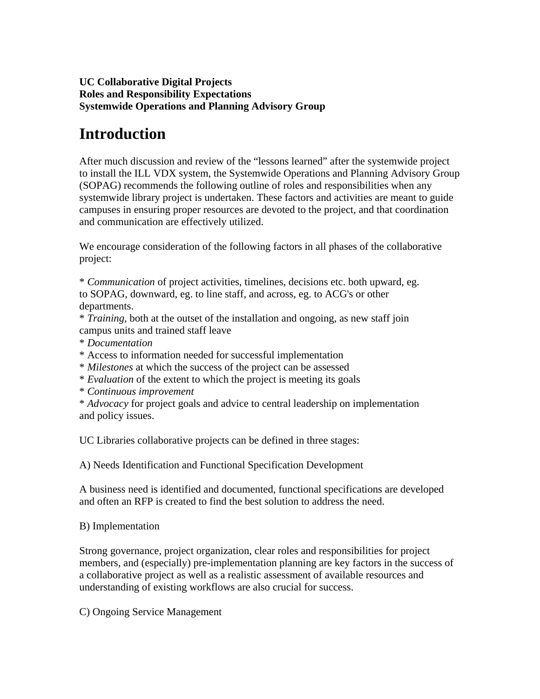#### **UC Collaborative Digital Projects Roles and Responsibility Expectations Systemwide Operations and Planning Advisory Group**

# **Introduction**

After much discussion and review of the "lessons learned" after the systemwide project to install the ILL VDX system, the Systemwide Operations and Planning Advisory Group (SOPAG) recommends the following outline of roles and responsibilities when any systemwide library project is undertaken. These factors and activities are meant to guide campuses in ensuring proper resources are devoted to the project, and that coordination and communication are effectively utilized.

We encourage consideration of the following factors in all phases of the collaborative project:

\* *Communication* of project activities, timelines, decisions etc. both upward, eg. to SOPAG, downward, eg. to line staff, and across, eg. to ACG's or other departments.

\* *Training*, both at the outset of the installation and ongoing, as new staff join campus units and trained staff leave

- \* *Documentation*
- \* Access to information needed for successful implementation
- \* *Milestones* at which the success of the project can be assessed
- \* *Evaluation* of the extent to which the project is meeting its goals
- \* *Continuous improvement*

\* *Advocacy* for project goals and advice to central leadership on implementation and policy issues.

UC Libraries collaborative projects can be defined in three stages:

A) Needs Identification and Functional Specification Development

A business need is identified and documented, functional specifications are developed and often an RFP is created to find the best solution to address the need.

#### B) Implementation

Strong governance, project organization, clear roles and responsibilities for project members, and (especially) pre-implementation planning are key factors in the success of a collaborative project as well as a realistic assessment of available resources and understanding of existing workflows are also crucial for success.

C) Ongoing Service Management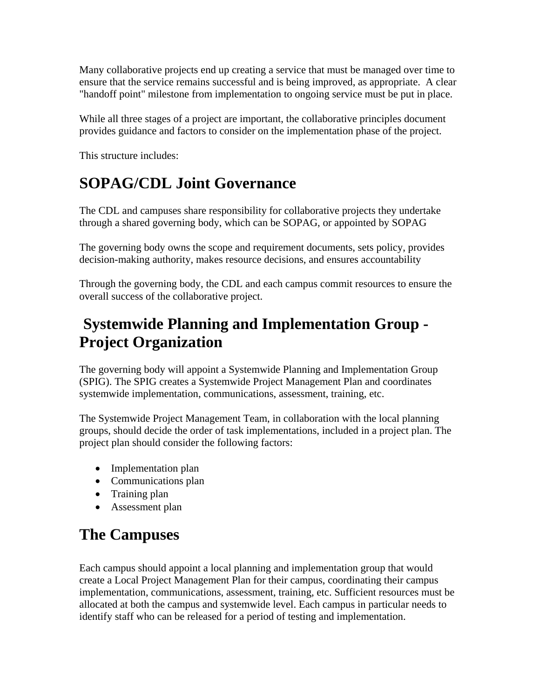Many collaborative projects end up creating a service that must be managed over time to ensure that the service remains successful and is being improved, as appropriate. A clear "handoff point" milestone from implementation to ongoing service must be put in place.

While all three stages of a project are important, the collaborative principles document provides guidance and factors to consider on the implementation phase of the project.

This structure includes:

### **SOPAG/CDL Joint Governance**

The CDL and campuses share responsibility for collaborative projects they undertake through a shared governing body, which can be SOPAG, or appointed by SOPAG

The governing body owns the scope and requirement documents, sets policy, provides decision-making authority, makes resource decisions, and ensures accountability

Through the governing body, the CDL and each campus commit resources to ensure the overall success of the collaborative project.

## **Systemwide Planning and Implementation Group - Project Organization**

The governing body will appoint a Systemwide Planning and Implementation Group (SPIG). The SPIG creates a Systemwide Project Management Plan and coordinates systemwide implementation, communications, assessment, training, etc.

The Systemwide Project Management Team, in collaboration with the local planning groups, should decide the order of task implementations, included in a project plan. The project plan should consider the following factors:

- Implementation plan
- Communications plan
- Training plan
- Assessment plan

# **The Campuses**

Each campus should appoint a local planning and implementation group that would create a Local Project Management Plan for their campus, coordinating their campus implementation, communications, assessment, training, etc. Sufficient resources must be allocated at both the campus and systemwide level. Each campus in particular needs to identify staff who can be released for a period of testing and implementation.